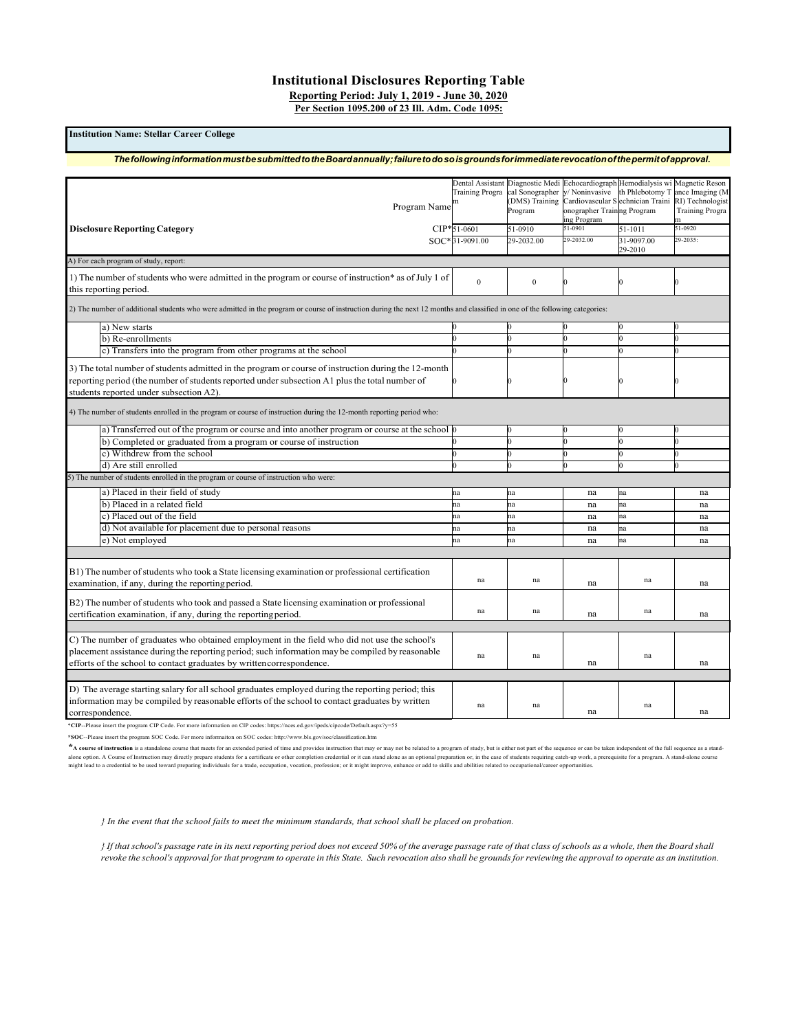# **Institutional Disclosures Reporting Table Reporting Period: July 1, 2019 - June 30, 2020**

**Per Section 1095.200 of 23 Ill. Adm. Code 1095:**

#### **Institution Name: Stellar Career College**

# *ThefollowinginformationmustbesubmittedtotheBoardannually;failuretodosoisgroundsforimmediaterevocationofthepermitofapproval.*

| Program Name <sup>m</sup>                                                                                                                                                                                                                                                 | <b>Training Progra</b> | Dental Assistant Diagnostic Medi<br>cal Sonographer<br>(DMS) Training<br>Program | Echocardiograph Hemodialysis wi<br>y/ Noninvasive<br>Cardiovascular S echnician Traini<br>onographer Training Program | th Phlebotomy T       | Magnetic Reson<br>ance Imaging (M<br>RI) Technologist<br><b>Training Progra</b> |
|---------------------------------------------------------------------------------------------------------------------------------------------------------------------------------------------------------------------------------------------------------------------------|------------------------|----------------------------------------------------------------------------------|-----------------------------------------------------------------------------------------------------------------------|-----------------------|---------------------------------------------------------------------------------|
|                                                                                                                                                                                                                                                                           | CIP*51-0601            | 51-0910                                                                          | ing Program<br>51-0901                                                                                                | $51 - 1011$           | m<br>51-0920                                                                    |
| <b>Disclosure Reporting Category</b>                                                                                                                                                                                                                                      |                        |                                                                                  |                                                                                                                       |                       |                                                                                 |
|                                                                                                                                                                                                                                                                           | SOC*31-9091.00         | 29-2032.00                                                                       | 29-2032.00                                                                                                            | 31-9097.00<br>29-2010 | 29-2035:                                                                        |
| A) For each program of study, report:                                                                                                                                                                                                                                     |                        |                                                                                  |                                                                                                                       |                       |                                                                                 |
| 1) The number of students who were admitted in the program or course of instruction* as of July 1 of<br>this reporting period.                                                                                                                                            | $\theta$               | $\mathbf{0}$                                                                     |                                                                                                                       |                       |                                                                                 |
| 2) The number of additional students who were admitted in the program or course of instruction during the next 12 months and classified in one of the following categories:                                                                                               |                        |                                                                                  |                                                                                                                       |                       |                                                                                 |
| a) New starts                                                                                                                                                                                                                                                             |                        |                                                                                  |                                                                                                                       |                       |                                                                                 |
| b) Re-enrollments                                                                                                                                                                                                                                                         |                        | $\Omega$                                                                         |                                                                                                                       |                       |                                                                                 |
| c) Transfers into the program from other programs at the school                                                                                                                                                                                                           |                        |                                                                                  |                                                                                                                       |                       |                                                                                 |
| 3) The total number of students admitted in the program or course of instruction during the 12-month                                                                                                                                                                      |                        |                                                                                  |                                                                                                                       |                       |                                                                                 |
| reporting period (the number of students reported under subsection A1 plus the total number of                                                                                                                                                                            |                        | Ю                                                                                |                                                                                                                       |                       |                                                                                 |
| students reported under subsection A2).                                                                                                                                                                                                                                   |                        |                                                                                  |                                                                                                                       |                       |                                                                                 |
| 4) The number of students enrolled in the program or course of instruction during the 12-month reporting period who:                                                                                                                                                      |                        |                                                                                  |                                                                                                                       |                       |                                                                                 |
| a) Transferred out of the program or course and into another program or course at the school                                                                                                                                                                              |                        | $\bf{0}$                                                                         |                                                                                                                       |                       |                                                                                 |
| b) Completed or graduated from a program or course of instruction                                                                                                                                                                                                         |                        | n                                                                                | O                                                                                                                     |                       |                                                                                 |
| c) Withdrew from the school                                                                                                                                                                                                                                               |                        |                                                                                  |                                                                                                                       |                       |                                                                                 |
| d) Are still enrolled                                                                                                                                                                                                                                                     |                        | $\Omega$                                                                         | n                                                                                                                     |                       |                                                                                 |
| 5) The number of students enrolled in the program or course of instruction who were:                                                                                                                                                                                      |                        |                                                                                  |                                                                                                                       |                       |                                                                                 |
| a) Placed in their field of study                                                                                                                                                                                                                                         | na                     | na                                                                               | na                                                                                                                    | na                    | na                                                                              |
| b) Placed in a related field                                                                                                                                                                                                                                              | na                     | na                                                                               | na                                                                                                                    | na                    | na                                                                              |
| c) Placed out of the field                                                                                                                                                                                                                                                | na                     | na                                                                               | na                                                                                                                    | na                    | na                                                                              |
| d) Not available for placement due to personal reasons                                                                                                                                                                                                                    | na                     | na                                                                               | na                                                                                                                    | na                    | na                                                                              |
| e) Not employed                                                                                                                                                                                                                                                           | na                     | na                                                                               | na                                                                                                                    | na                    | na                                                                              |
|                                                                                                                                                                                                                                                                           |                        |                                                                                  |                                                                                                                       |                       |                                                                                 |
| B1) The number of students who took a State licensing examination or professional certification<br>examination, if any, during the reporting period.                                                                                                                      | na                     | na                                                                               | na                                                                                                                    | na                    | na                                                                              |
| B2) The number of students who took and passed a State licensing examination or professional<br>certification examination, if any, during the reporting period.                                                                                                           | na                     | na                                                                               | na                                                                                                                    | na                    | na                                                                              |
|                                                                                                                                                                                                                                                                           |                        |                                                                                  |                                                                                                                       |                       |                                                                                 |
| C) The number of graduates who obtained employment in the field who did not use the school's<br>placement assistance during the reporting period; such information may be compiled by reasonable<br>efforts of the school to contact graduates by written correspondence. | na                     | na                                                                               | na                                                                                                                    | na                    | na                                                                              |
|                                                                                                                                                                                                                                                                           |                        |                                                                                  |                                                                                                                       |                       |                                                                                 |
| D) The average starting salary for all school graduates employed during the reporting period; this<br>information may be compiled by reasonable efforts of the school to contact graduates by written<br>correspondence.                                                  | na                     | na                                                                               | na                                                                                                                    | na                    | na                                                                              |
|                                                                                                                                                                                                                                                                           |                        |                                                                                  |                                                                                                                       |                       |                                                                                 |

\***CIP**--Please insert the program CIP Code. For more information on CIP codes: https://nces.ed.gov/ipeds/cipcode/Default.aspx?y=55

**\*SOC**--Please insert the program SOC Code. For more informaiton on SOC codes: http://www.bls.gov/soc/classification.htm

\* A course of instruction is a standalone course that meets for an extended period of time and provides instruction that may or may not be related to a program of study, but is either not part of the sequence or can be tak alone option. A Course of Instruction may directly prepare sudents for a certificate or other completion credential or it can stand alone as an optional preparation or, in the case of students requiring catch-up work, a pr

*} In the event that the school fails to meet the minimum standards, that school shall be placed on probation.*

} If that school's passage rate in its next reporting period does not exceed 50% of the average passage rate of that class of schools as a whole, then the Board shall revoke the school's approval for that program to operate in this State. Such revocation also shall be grounds for reviewing the approval to operate as an institution.